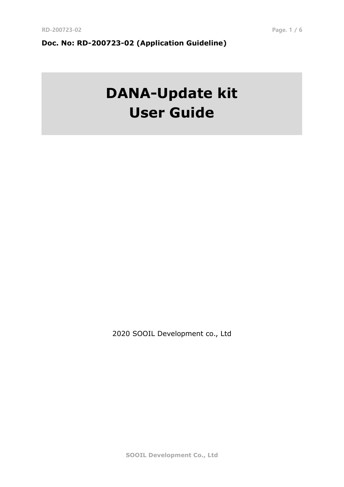# **Doc. No: RD-200723-02 (Application Guideline)**

# **DANA-Update kit User Guide**

2020 SOOIL Development co., Ltd

**SOOIL Development Co., Ltd**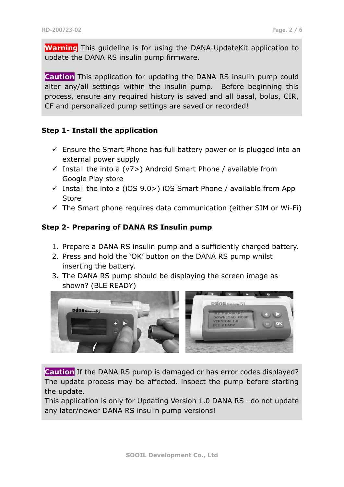**Warning** This guideline is for using the DANA-UpdateKit application to update the DANA RS insulin pump firmware.

**Caution** This application for updating the DANA RS insulin pump could alter any/all settings within the insulin pump. Before beginning this process, ensure any required history is saved and all basal, bolus, CIR, CF and personalized pump settings are saved or recorded!

#### **Step 1- Install the application**

- $\checkmark$  Ensure the Smart Phone has full battery power or is plugged into an external power supply
- $\checkmark$  Install the into a (v7>) Android Smart Phone / available from Google Play store
- $\checkmark$  Install the into a (iOS 9.0>) iOS Smart Phone / available from App **Store**
- $\checkmark$  The Smart phone requires data communication (either SIM or Wi-Fi)

#### **Step 2- Preparing of DANA RS Insulin pump**

- 1. Prepare a DANA RS insulin pump and a sufficiently charged battery.
- 2. Press and hold the 'OK' button on the DANA RS pump whilst inserting the battery.
- 3. The DANA RS pump should be displaying the screen image as shown? (BLE READY)



**Caution** If the DANA RS pump is damaged or has error codes displayed? The update process may be affected. inspect the pump before starting the update.

This application is only for Updating Version 1.0 DANA RS –do not update any later/newer DANA RS insulin pump versions!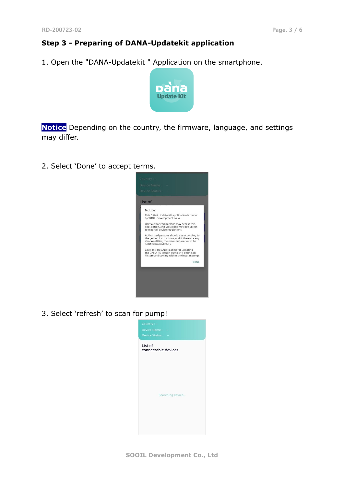# **Step 3 - Preparing of DANA-Updatekit application**

1. Open the "DANA-Updatekit " Application on the smartphone.



**Notice** Depending on the country, the firmware, language, and settings may differ.

2. Select 'Done' to accept terms.



3. Select 'refresh' to scan for pump!

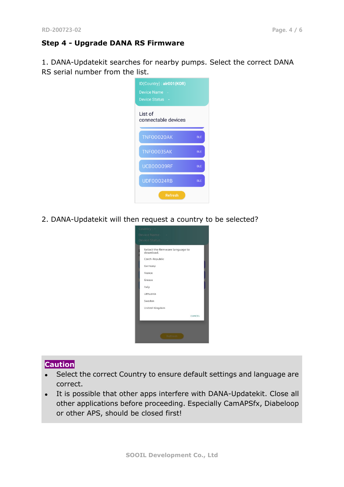## **Step 4 - Upgrade DANA RS Firmware**

1. DANA-Updatekit searches for nearby pumps. Select the correct DANA RS serial number from the list.

| ID(Country): air001(KOR)<br>Device Name -<br><b>Device Status</b> |            |
|-------------------------------------------------------------------|------------|
| List of<br>connectable devices                                    |            |
| <b>TNF00020AK</b>                                                 | <b>BLE</b> |
| <b>TNF00035AK</b>                                                 | <b>BLE</b> |
| UCB00009RF                                                        | <b>BLE</b> |
| UDF00024RB                                                        | <b>BLE</b> |
| <b>Refresh</b>                                                    |            |

2. DANA-Updatekit will then request a country to be selected?



#### **Caution**

- Select the correct Country to ensure default settings and language are correct.
- It is possible that other apps interfere with DANA-Updatekit. Close all other applications before proceeding. Especially CamAPSfx, Diabeloop or other APS, should be closed first!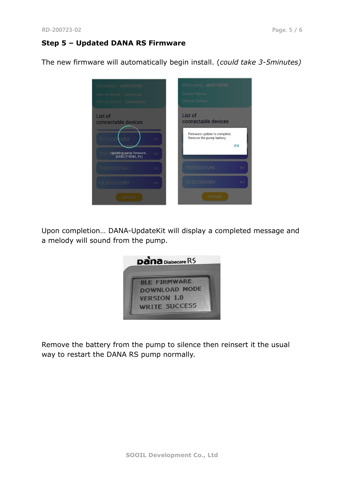## **Step 5 – Updated DANA RS Firmware**

The new firmware will automatically begin install. (*could take 3-5minutes)*



Upon completion… DANA-UpdateKit will display a completed message and a melody will sound from the pump.



Remove the battery from the pump to silence then reinsert it the usual way to restart the DANA RS pump normally.